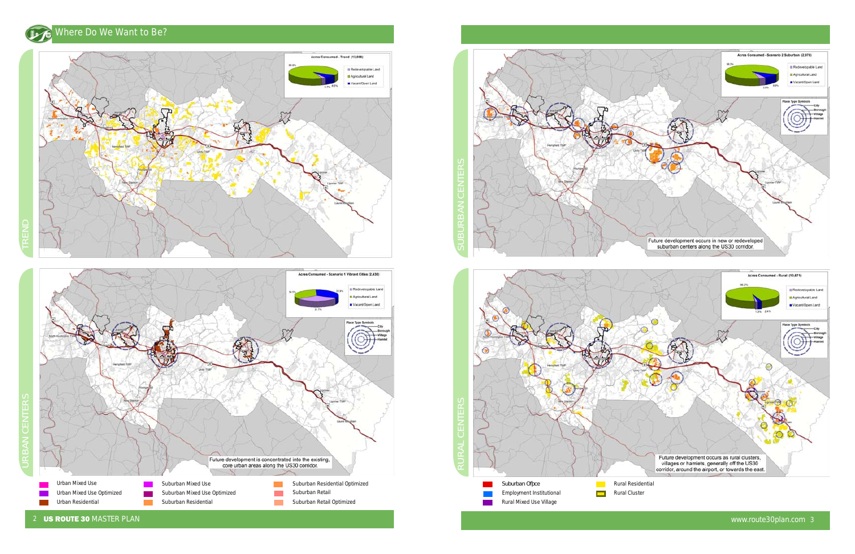## Where Do We Want to Be?







2 US ROUTE 30 MASTER PLAN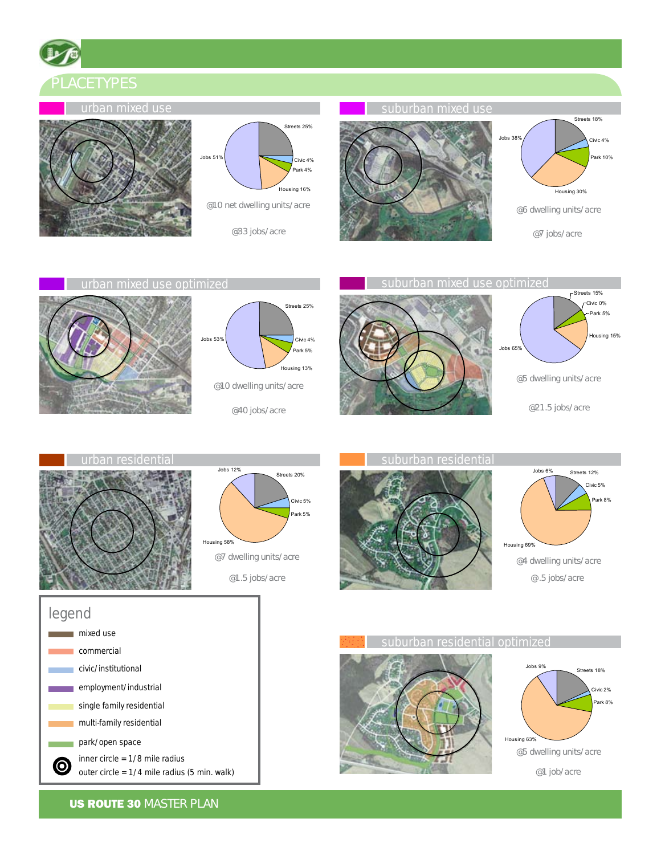PLACETYPES















legend **n** mixed use commercial civic/institutional employment/industrial single family residential multi-family residential park/open space inner circle = 1/8 mile radius  $\odot$ outer circle = 1/4 mile radius (5 min. walk)

**US ROUTE 30 MASTER PLAN**